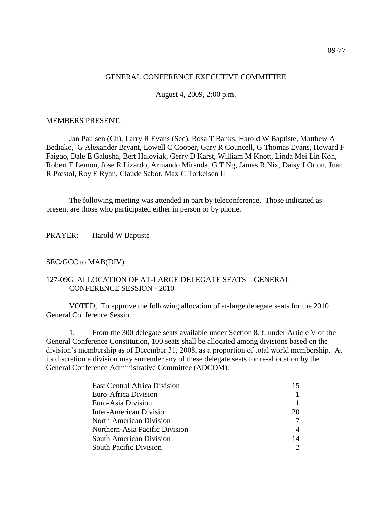## GENERAL CONFERENCE EXECUTIVE COMMITTEE

August 4, 2009, 2:00 p.m.

#### MEMBERS PRESENT:

Jan Paulsen (Ch), Larry R Evans (Sec), Rosa T Banks, Harold W Baptiste, Matthew A Bediako, G Alexander Bryant, Lowell C Cooper, Gary R Councell, G Thomas Evans, Howard F Faigao, Dale E Galusha, Bert Haloviak, Gerry D Karst, William M Knott, Linda Mei Lin Koh, Robert E Lemon, Jose R Lizardo, Armando Miranda, G T Ng, James R Nix, Daisy J Orion, Juan R Prestol, Roy E Ryan, Claude Sabot, Max C Torkelsen II

The following meeting was attended in part by teleconference. Those indicated as present are those who participated either in person or by phone.

PRAYER: Harold W Baptiste

## SEC/GCC to MAB(DIV)

## 127-09G ALLOCATION OF AT-LARGE DELEGATE SEATS—GENERAL CONFERENCE SESSION - 2010

VOTED, To approve the following allocation of at-large delegate seats for the 2010 General Conference Session:

1. From the 300 delegate seats available under Section 8. f. under Article V of the General Conference Constitution, 100 seats shall be allocated among divisions based on the division's membership as of December 31, 2008, as a proportion of total world membership. At its discretion a division may surrender any of these delegate seats for re-allocation by the General Conference Administrative Committee (ADCOM).

| <b>East Central Africa Division</b> | 15 |
|-------------------------------------|----|
| Euro-Africa Division                |    |
| Euro-Asia Division                  |    |
| Inter-American Division             | 20 |
| North American Division             |    |
| Northern-Asia Pacific Division      | 4  |
| <b>South American Division</b>      | 14 |
| <b>South Pacific Division</b>       |    |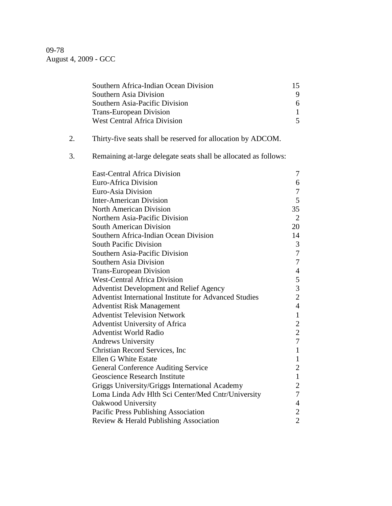09-78 August 4, 2009 - GCC

|    | Southern Africa-Indian Ocean Division                            | 15             |
|----|------------------------------------------------------------------|----------------|
|    | Southern Asia Division                                           | 9              |
|    | Southern Asia-Pacific Division                                   | 6              |
|    | <b>Trans-European Division</b>                                   | $\mathbf{1}$   |
|    | <b>West Central Africa Division</b>                              | 5              |
| 2. | Thirty-five seats shall be reserved for allocation by ADCOM.     |                |
|    |                                                                  |                |
| 3. | Remaining at-large delegate seats shall be allocated as follows: |                |
|    | <b>East-Central Africa Division</b>                              | 7              |
|    | Euro-Africa Division                                             | 6              |
|    | Euro-Asia Division                                               | 7              |
|    | <b>Inter-American Division</b>                                   | 5              |
|    | <b>North American Division</b>                                   | 35             |
|    | Northern Asia-Pacific Division                                   | 2              |
|    | <b>South American Division</b>                                   | 20             |
|    | Southern Africa-Indian Ocean Division                            | 14             |
|    | <b>South Pacific Division</b>                                    | 3              |
|    | Southern Asia-Pacific Division                                   | 7              |
|    | Southern Asia Division                                           | 7              |
|    | <b>Trans-European Division</b>                                   | $\overline{4}$ |
|    | <b>West-Central Africa Division</b>                              | 5              |
|    | <b>Adventist Development and Relief Agency</b>                   | $\overline{3}$ |
|    | Adventist International Institute for Advanced Studies           | $\overline{c}$ |
|    | <b>Adventist Risk Management</b>                                 | $\overline{4}$ |
|    | <b>Adventist Television Network</b>                              | $\mathbf{1}$   |
|    | <b>Adventist University of Africa</b>                            | $\overline{2}$ |
|    | <b>Adventist World Radio</b>                                     | $\mathbf{2}$   |
|    | <b>Andrews University</b>                                        | 7              |
|    | Christian Record Services, Inc.                                  | $\mathbf{1}$   |
|    | Ellen G White Estate                                             | $\mathbf{1}$   |
|    | <b>General Conference Auditing Service</b>                       | $\overline{2}$ |
|    | Geoscience Research Institute                                    | $\mathbf 1$    |
|    | Griggs University/Griggs International Academy                   | $\overline{2}$ |
|    | Loma Linda Adv Hlth Sci Center/Med Cntr/University               | 7              |
|    | Oakwood University                                               | 4              |
|    | Pacific Press Publishing Association                             | $\overline{2}$ |
|    | Review & Herald Publishing Association                           | $\overline{2}$ |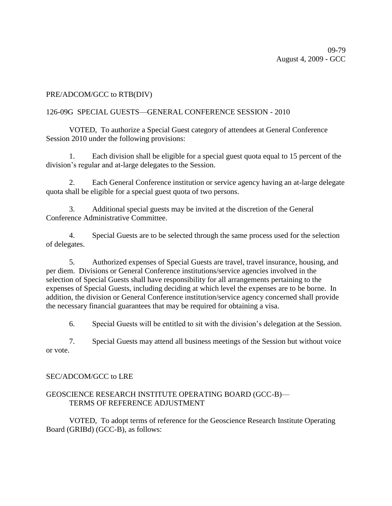# PRE/ADCOM/GCC to RTB(DIV)

# 126-09G SPECIAL GUESTS—GENERAL CONFERENCE SESSION - 2010

VOTED, To authorize a Special Guest category of attendees at General Conference Session 2010 under the following provisions:

1. Each division shall be eligible for a special guest quota equal to 15 percent of the division's regular and at-large delegates to the Session.

2. Each General Conference institution or service agency having an at-large delegate quota shall be eligible for a special guest quota of two persons.

3. Additional special guests may be invited at the discretion of the General Conference Administrative Committee.

4. Special Guests are to be selected through the same process used for the selection of delegates.

5. Authorized expenses of Special Guests are travel, travel insurance, housing, and per diem. Divisions or General Conference institutions/service agencies involved in the selection of Special Guests shall have responsibility for all arrangements pertaining to the expenses of Special Guests, including deciding at which level the expenses are to be borne. In addition, the division or General Conference institution/service agency concerned shall provide the necessary financial guarantees that may be required for obtaining a visa.

6. Special Guests will be entitled to sit with the division's delegation at the Session.

7. Special Guests may attend all business meetings of the Session but without voice or vote.

## SEC/ADCOM/GCC to LRE

# GEOSCIENCE RESEARCH INSTITUTE OPERATING BOARD (GCC-B)— TERMS OF REFERENCE ADJUSTMENT

VOTED, To adopt terms of reference for the Geoscience Research Institute Operating Board (GRIBd) (GCC-B), as follows: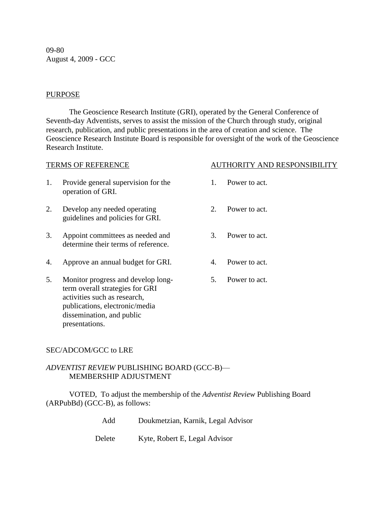09-80 August 4, 2009 - GCC

#### **PURPOSE**

The Geoscience Research Institute (GRI), operated by the General Conference of Seventh-day Adventists, serves to assist the mission of the Church through study, original research, publication, and public presentations in the area of creation and science. The Geoscience Research Institute Board is responsible for oversight of the work of the Geoscience Research Institute.

| <b>TERMS OF REFERENCE</b> |                                                                                                                                                                      | <b>AUTHORITY AND RESPONSIBILITY</b> |               |
|---------------------------|----------------------------------------------------------------------------------------------------------------------------------------------------------------------|-------------------------------------|---------------|
| 1.                        | Provide general supervision for the<br>operation of GRI.                                                                                                             | $\mathbf{1}$ .                      | Power to act. |
| 2.                        | Develop any needed operating<br>guidelines and policies for GRI.                                                                                                     | 2                                   | Power to act. |
| 3.                        | Appoint committees as needed and<br>determine their terms of reference.                                                                                              | 3.                                  | Power to act. |
| 4.                        | Approve an annual budget for GRI.                                                                                                                                    | 4.                                  | Power to act. |
| 5.                        | Monitor progress and develop long-<br>term overall strategies for GRI<br>activities such as research,<br>publications, electronic/media<br>dissemination, and public | 5.                                  | Power to act. |

## SEC/ADCOM/GCC to LRE

presentations.

# *ADVENTIST REVIEW* PUBLISHING BOARD (GCC-B)— MEMBERSHIP ADJUSTMENT

VOTED, To adjust the membership of the *Adventist Review* Publishing Board (ARPubBd) (GCC-B), as follows:

- Add Doukmetzian, Karnik, Legal Advisor
- Delete Kyte, Robert E, Legal Advisor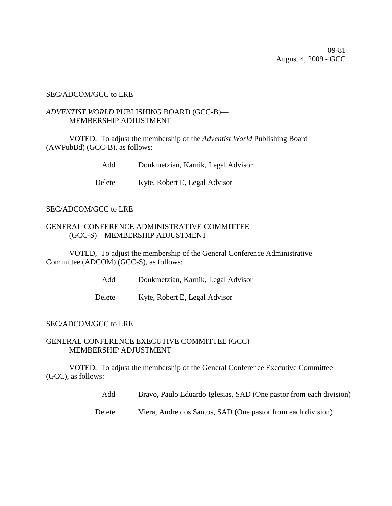#### SEC/ADCOM/GCC to LRE

# *ADVENTIST WORLD* PUBLISHING BOARD (GCC-B)— MEMBERSHIP ADJUSTMENT

VOTED, To adjust the membership of the *Adventist World* Publishing Board (AWPubBd) (GCC-B), as follows:

Add Doukmetzian, Karnik, Legal Advisor

Delete Kyte, Robert E, Legal Advisor

## SEC/ADCOM/GCC to LRE

## GENERAL CONFERENCE ADMINISTRATIVE COMMITTEE (GCC-S)—MEMBERSHIP ADJUSTMENT

VOTED, To adjust the membership of the General Conference Administrative Committee (ADCOM) (GCC-S), as follows:

Add Doukmetzian, Karnik, Legal Advisor

Delete Kyte, Robert E, Legal Advisor

## SEC/ADCOM/GCC to LRE

#### GENERAL CONFERENCE EXECUTIVE COMMITTEE (GCC)— MEMBERSHIP ADJUSTMENT

VOTED, To adjust the membership of the General Conference Executive Committee (GCC), as follows:

Add Bravo, Paulo Eduardo Iglesias, SAD (One pastor from each division)

Delete Viera, Andre dos Santos, SAD (One pastor from each division)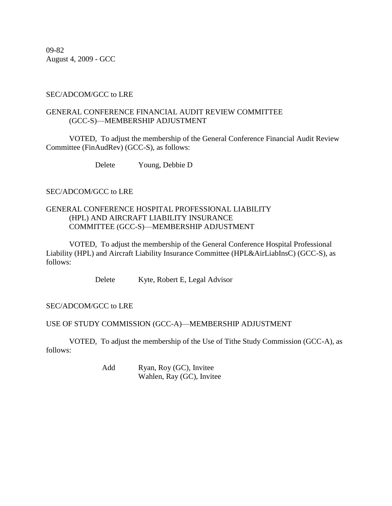09-82 August 4, 2009 - GCC

## SEC/ADCOM/GCC to LRE

# GENERAL CONFERENCE FINANCIAL AUDIT REVIEW COMMITTEE (GCC-S)—MEMBERSHIP ADJUSTMENT

VOTED, To adjust the membership of the General Conference Financial Audit Review Committee (FinAudRev) (GCC-S), as follows:

Delete Young, Debbie D

## SEC/ADCOM/GCC to LRE

## GENERAL CONFERENCE HOSPITAL PROFESSIONAL LIABILITY (HPL) AND AIRCRAFT LIABILITY INSURANCE COMMITTEE (GCC-S)—MEMBERSHIP ADJUSTMENT

VOTED, To adjust the membership of the General Conference Hospital Professional Liability (HPL) and Aircraft Liability Insurance Committee (HPL&AirLiabInsC) (GCC-S), as follows:

Delete Kyte, Robert E, Legal Advisor

## SEC/ADCOM/GCC to LRE

## USE OF STUDY COMMISSION (GCC-A)—MEMBERSHIP ADJUSTMENT

VOTED, To adjust the membership of the Use of Tithe Study Commission (GCC-A), as follows:

> Add Ryan, Roy (GC), Invitee Wahlen, Ray (GC), Invitee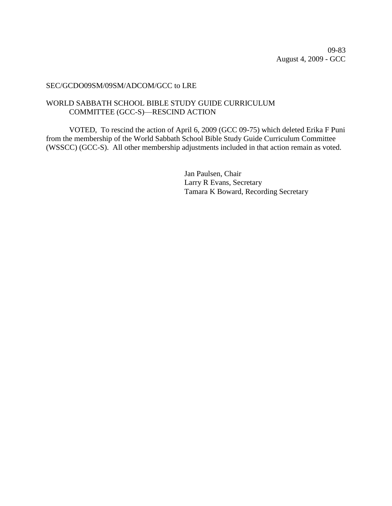09-83 August 4, 2009 - GCC

## SEC/GCDO09SM/09SM/ADCOM/GCC to LRE

# WORLD SABBATH SCHOOL BIBLE STUDY GUIDE CURRICULUM COMMITTEE (GCC-S)—RESCIND ACTION

VOTED, To rescind the action of April 6, 2009 (GCC 09-75) which deleted Erika F Puni from the membership of the World Sabbath School Bible Study Guide Curriculum Committee (WSSCC) (GCC-S). All other membership adjustments included in that action remain as voted.

> Jan Paulsen, Chair Larry R Evans, Secretary Tamara K Boward, Recording Secretary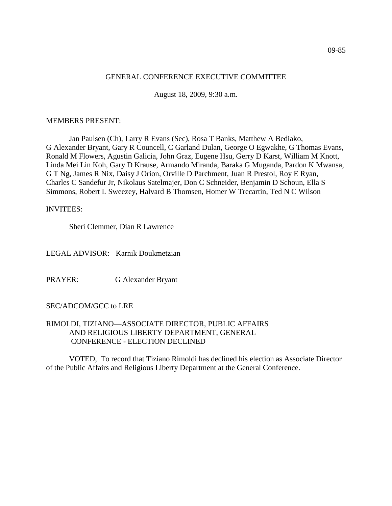## GENERAL CONFERENCE EXECUTIVE COMMITTEE

August 18, 2009, 9:30 a.m.

#### MEMBERS PRESENT:

Jan Paulsen (Ch), Larry R Evans (Sec), Rosa T Banks, Matthew A Bediako, G Alexander Bryant, Gary R Councell, C Garland Dulan, George O Egwakhe, G Thomas Evans, Ronald M Flowers, Agustin Galicia, John Graz, Eugene Hsu, Gerry D Karst, William M Knott, Linda Mei Lin Koh, Gary D Krause, Armando Miranda, Baraka G Muganda, Pardon K Mwansa, G T Ng, James R Nix, Daisy J Orion, Orville D Parchment, Juan R Prestol, Roy E Ryan, Charles C Sandefur Jr, Nikolaus Satelmajer, Don C Schneider, Benjamin D Schoun, Ella S Simmons, Robert L Sweezey, Halvard B Thomsen, Homer W Trecartin, Ted N C Wilson

#### INVITEES:

Sheri Clemmer, Dian R Lawrence

LEGAL ADVISOR: Karnik Doukmetzian

PRAYER: G Alexander Bryant

## SEC/ADCOM/GCC to LRE

## RIMOLDI, TIZIANO—ASSOCIATE DIRECTOR, PUBLIC AFFAIRS AND RELIGIOUS LIBERTY DEPARTMENT, GENERAL CONFERENCE - ELECTION DECLINED

VOTED, To record that Tiziano Rimoldi has declined his election as Associate Director of the Public Affairs and Religious Liberty Department at the General Conference.